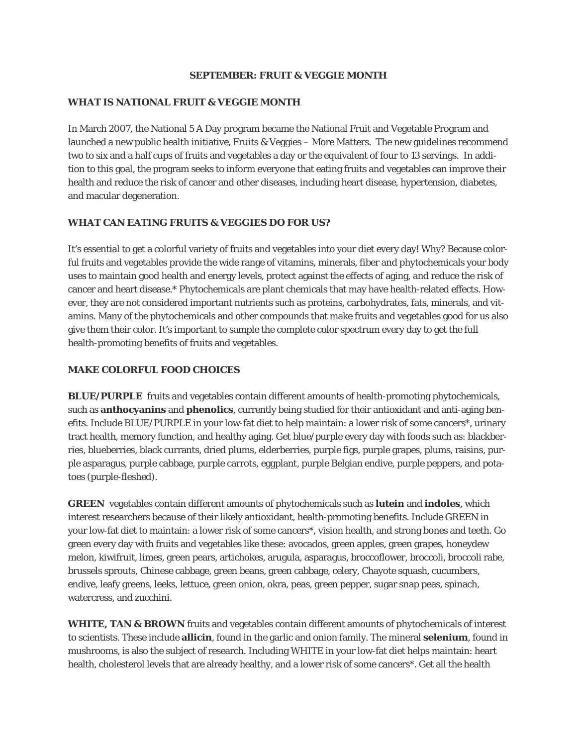## *SEPTEMBER: FRUIT & VEGGIE MONTH*

### *WHAT IS NATIONAL FRUIT & VEGGIE MONTH*

In March 2007, the National 5 A Day program became the National Fruit and Vegetable Program and launched a new public health initiative, Fruits & Veggies – More Matters. The new guidelines recommend two to six and a half cups of fruits and vegetables a day or the equivalent of four to 13 servings. In addition to this goal, the program seeks to inform everyone that eating fruits and vegetables can improve their health and reduce the risk of cancer and other diseases, including heart disease, hypertension, diabetes, and macular degeneration.

# *WHAT CAN EATING FRUITS & VEGGIES DO FOR US?*

It's essential to get a colorful variety of fruits and vegetables into your diet every day! Why? Because colorful fruits and vegetables provide the wide range of vitamins, minerals, fiber and phytochemicals your body uses to maintain good health and energy levels, protect against the effects of aging, and reduce the risk of cancer and heart disease.\* Phytochemicals are plant chemicals that may have health-related effects. However, they are not considered important nutrients such as proteins, carbohydrates, fats, minerals, and vitamins. Many of the phytochemicals and other compounds that make fruits and vegetables good for us also give them their color. It's important to sample the complete color spectrum every day to get the full health-promoting benefits of fruits and vegetables.

# *MAKE COLORFUL FOOD CHOICES*

**BLUE/PURPLE** fruits and vegetables contain different amounts of health-promoting phytochemicals, such as **anthocyanins** and **phenolics**, currently being studied for their antioxidant and anti-aging benefits. Include BLUE/PURPLE in your low-fat diet to help maintain: a lower risk of some cancers\*, urinary tract health, memory function, and healthy aging. Get blue/purple every day with foods such as: blackberries, blueberries, black currants, dried plums, elderberries, purple figs, purple grapes, plums, raisins, purple asparagus, purple cabbage, purple carrots, eggplant, purple Belgian endive, purple peppers, and potatoes (purple-fleshed).

**GREEN** vegetables contain different amounts of phytochemicals such as **lutein** and **indoles**, which interest researchers because of their likely antioxidant, health-promoting benefits. Include GREEN in your low-fat diet to maintain: a lower risk of some cancers\*, vision health, and strong bones and teeth. Go green every day with fruits and vegetables like these: avocados, green apples, green grapes, honeydew melon, kiwifruit, limes, green pears, artichokes, arugula, asparagus, broccoflower, broccoli, broccoli rabe, brussels sprouts, Chinese cabbage, green beans, green cabbage, celery, Chayote squash, cucumbers, endive, leafy greens, leeks, lettuce, green onion, okra, peas, green pepper, sugar snap peas, spinach, watercress, and zucchini.

**WHITE, TAN & BROWN** fruits and vegetables contain different amounts of phytochemicals of interest to scientists. These include **allicin**, found in the garlic and onion family. The mineral **selenium**, found in mushrooms, is also the subject of research. Including WHITE in your low-fat diet helps maintain: heart health, cholesterol levels that are already healthy, and a lower risk of some cancers\*. Get all the health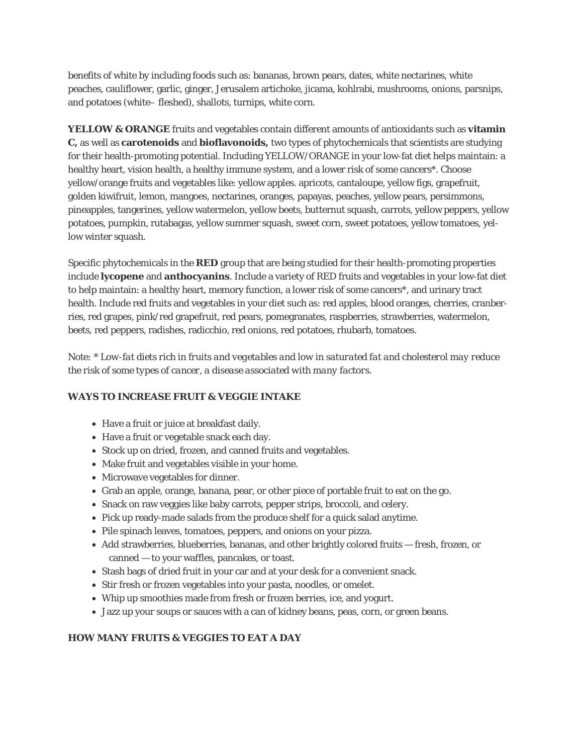benefits of white by including foods such as: bananas, brown pears, dates, white nectarines, white peaches, cauliflower, garlic, ginger, Jerusalem artichoke, jicama, kohlrabi, mushrooms, onions, parsnips, and potatoes (white– fleshed), shallots, turnips, white corn.

**YELLOW & ORANGE** fruits and vegetables contain different amounts of antioxidants such as **vitamin C,** as well as **carotenoids** and **bioflavonoids,** two types of phytochemicals that scientists are studying for their health-promoting potential. Including YELLOW/ORANGE in your low-fat diet helps maintain: a healthy heart, vision health, a healthy immune system, and a lower risk of some cancers\*. Choose yellow/orange fruits and vegetables like: yellow apples. apricots, cantaloupe, yellow figs, grapefruit, golden kiwifruit, lemon, mangoes, nectarines, oranges, papayas, peaches, yellow pears, persimmons, pineapples, tangerines, yellow watermelon, yellow beets, butternut squash, carrots, yellow peppers, yellow potatoes, pumpkin, rutabagas, yellow summer squash, sweet corn, sweet potatoes, yellow tomatoes, yellow winter squash.

Specific phytochemicals in the **RED** group that are being studied for their health-promoting properties include **lycopene** and **anthocyanins**. Include a variety of RED fruits and vegetables in your low-fat diet to help maintain: a healthy heart, memory function, a lower risk of some cancers\*, and urinary tract health. Include red fruits and vegetables in your diet such as: red apples, blood oranges, cherries, cranberries, red grapes, pink/red grapefruit, red pears, pomegranates, raspberries, strawberries, watermelon, beets, red peppers, radishes, radicchio, red onions, red potatoes, rhubarb, tomatoes.

*Note: \* Low-fat diets rich in fruits and vegetables and low in saturated fat and cholesterol may reduce the risk of some types of cancer, a disease associated with many factors.*

## *WAYS TO INCREASE FRUIT & VEGGIE INTAKE*

- Have a fruit or juice at breakfast daily.
- Have a fruit or vegetable snack each day.
- Stock up on dried, frozen, and canned fruits and vegetables.
- Make fruit and vegetables visible in your home.
- Microwave vegetables for dinner.
- Grab an apple, orange, banana, pear, or other piece of portable fruit to eat on the go.
- Snack on raw veggies like baby carrots, pepper strips, broccoli, and celery.
- Pick up ready-made salads from the produce shelf for a quick salad anytime.
- Pile spinach leaves, tomatoes, peppers, and onions on your pizza.
- Add strawberries, blueberries, bananas, and other brightly colored fruits fresh, frozen, or canned — to your waffles, pancakes, or toast.
- Stash bags of dried fruit in your car and at your desk for a convenient snack.
- Stir fresh or frozen vegetables into your pasta, noodles, or omelet.
- Whip up smoothies made from fresh or frozen berries, ice, and yogurt.
- Jazz up your soups or sauces with a can of kidney beans, peas, corn, or green beans.

# *HOW MANY FRUITS & VEGGIES TO EAT A DAY*